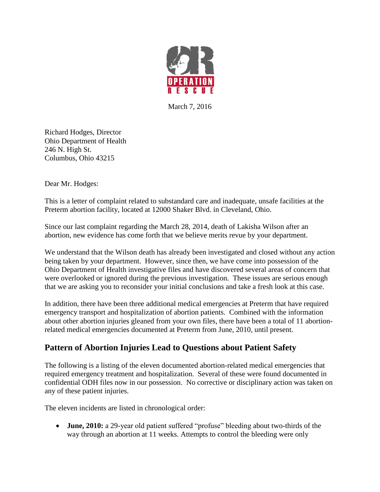

March 7, 2016

Richard Hodges, Director Ohio Department of Health 246 N. High St. Columbus, Ohio 43215

Dear Mr. Hodges:

This is a letter of complaint related to substandard care and inadequate, unsafe facilities at the Preterm abortion facility, located at 12000 Shaker Blvd. in Cleveland, Ohio.

Since our last complaint regarding the March 28, 2014, death of Lakisha Wilson after an abortion, new evidence has come forth that we believe merits revue by your department.

We understand that the Wilson death has already been investigated and closed without any action being taken by your department. However, since then, we have come into possession of the Ohio Department of Health investigative files and have discovered several areas of concern that were overlooked or ignored during the previous investigation. These issues are serious enough that we are asking you to reconsider your initial conclusions and take a fresh look at this case.

In addition, there have been three additional medical emergencies at Preterm that have required emergency transport and hospitalization of abortion patients. Combined with the information about other abortion injuries gleaned from your own files, there have been a total of 11 abortionrelated medical emergencies documented at Preterm from June, 2010, until present.

## **Pattern of Abortion Injuries Lead to Questions about Patient Safety**

The following is a listing of the eleven documented abortion-related medical emergencies that required emergency treatment and hospitalization. Several of these were found documented in confidential ODH files now in our possession. No corrective or disciplinary action was taken on any of these patient injuries.

The eleven incidents are listed in chronological order:

 **June, 2010:** a 29-year old patient suffered "profuse" bleeding about two-thirds of the way through an abortion at 11 weeks. Attempts to control the bleeding were only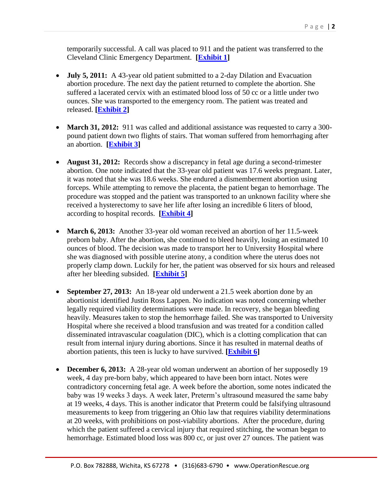temporarily successful. A call was placed to 911 and the patient was transferred to the Cleveland Clinic Emergency Department. **[\[Exhibit 1\]](http://abortiondocs.org/wp-content/uploads/2015/05/Preterm-Complication-6-12-10.pdf)**

- **July 5, 2011:** A 43-year old patient submitted to a 2-day Dilation and Evacuation abortion procedure. The next day the patient returned to complete the abortion. She suffered a lacerated cervix with an estimated blood loss of 50 cc or a little under two ounces. She was transported to the emergency room. The patient was treated and released. **[\[Exhibit 2\]](http://abortiondocs.org/wp-content/uploads/2015/05/Preterm-Complication7-6-11.pdf)**
- **March 31, 2012:** 911 was called and additional assistance was requested to carry a 300pound patient down two flights of stairs. That woman suffered from hemorrhaging after an abortion. **[\[Exhibit 3\]](http://www.operationrescue.org/archives/pattern-of-botched-abortions-surfaces-at-cleveland-abortion-clinic-where-patient-died/)**
- **August 31, 2012:** Records show a discrepancy in fetal age during a second-trimester abortion. One note indicated that the 33-year old patient was 17.6 weeks pregnant. Later, it was noted that she was 18.6 weeks. She endured a dismemberment abortion using forceps. While attempting to remove the placenta, the patient began to hemorrhage. The procedure was stopped and the patient was transported to an unknown facility where she received a hysterectomy to save her life after losing an incredible 6 liters of blood, according to hospital records. **[\[Exhibit 4\]](http://abortiondocs.org/wp-content/uploads/2015/05/Preterm-Complications-2-08312012-03062013.pdf)**
- **March 6, 2013:** Another 33-year old woman received an abortion of her 11.5-week preborn baby. After the abortion, she continued to bleed heavily, losing an estimated 10 ounces of blood. The decision was made to transport her to University Hospital where she was diagnosed with possible uterine atony, a condition where the uterus does not properly clamp down. Luckily for her, the patient was observed for six hours and released after her bleeding subsided. **[\[Exhibit 5\]](http://abortiondocs.org/wp-content/uploads/2015/05/Preterm-Complications-2-08312012-03062013.pdf)**
- **September 27, 2013:** An 18-year old underwent a 21.5 week abortion done by an abortionist identified Justin Ross Lappen. No indication was noted concerning whether legally required viability determinations were made. In recovery, she began bleeding heavily. Measures taken to stop the hemorrhage failed. She was transported to University Hospital where she received a blood transfusion and was treated for a condition called disseminated intravascular coagulation (DIC), which is a clotting complication that can result from internal injury during abortions. Since it has resulted in maternal deaths of abortion patients, this teen is lucky to have survived. **[\[Exhibit 6\]](http://abortiondocs.org/wp-content/uploads/2015/05/Preterm-Complication-09272013.pdf)**
- **December 6, 2013:** A 28-year old woman underwent an abortion of her supposedly 19 week, 4 day pre-born baby, which appeared to have been born intact. Notes were contradictory concerning fetal age. A week before the abortion, some notes indicated the baby was 19 weeks 3 days. A week later, Preterm's ultrasound measured the same baby at 19 weeks, 4 days. This is another indicator that Preterm could be falsifying ultrasound measurements to keep from triggering an Ohio law that requires viability determinations at 20 weeks, with prohibitions on post-viability abortions. After the procedure, during which the patient suffered a cervical injury that required stitching, the woman began to hemorrhage. Estimated blood loss was 800 cc, or just over 27 ounces. The patient was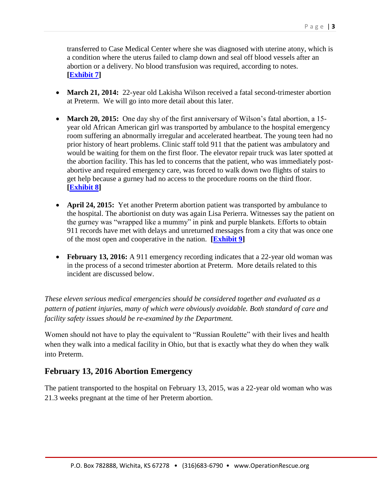transferred to Case Medical Center where she was diagnosed with uterine atony, which is a condition where the uterus failed to clamp down and seal off blood vessels after an abortion or a delivery. No blood transfusion was required, according to notes. **[\[Exhibit 7\]](http://abortiondocs.org/wp-content/uploads/2015/05/Preterm-Complication-12-6-2013.pdf)**

- March 21, 2014: 22-year old Lakisha Wilson received a fatal second-trimester abortion at Preterm. We will go into more detail about this later.
- **March 20, 2015:** One day shy of the first anniversary of Wilson's fatal abortion, a 15 year old African American girl was transported by ambulance to the hospital emergency room suffering an abnormally irregular and accelerated heartbeat. The young teen had no prior history of heart problems. Clinic staff told 911 that the patient was ambulatory and would be waiting for them on the first floor. The elevator repair truck was later spotted at the abortion facility. This has led to concerns that the patient, who was immediately postabortive and required emergency care, was forced to walk down two flights of stairs to get help because a gurney had no access to the procedure rooms on the third floor. **[\[Exhibit 8\]](http://abortiondocs.org/wp-content/uploads/2015/05/Wilson-Preterm-Record.pdf)**
- **April 24, 2015:** Yet another Preterm abortion patient was transported by ambulance to the hospital. The abortionist on duty was again Lisa Perierra. Witnesses say the patient on the gurney was "wrapped like a mummy" in pink and purple blankets. Efforts to obtain 911 records have met with delays and unreturned messages from a city that was once one of the most open and cooperative in the nation. **[\[Exhibit 9\]](http://www.operationrescue.org/archives/alive-or-dead-abortionist-that-killed-lakisha-wilson-sends-woman-wrapped-like-a-mummy-to-the-emergency-room/)**
- **February 13, 2016:** A 911 emergency recording indicates that a 22-year old woman was in the process of a second trimester abortion at Preterm. More details related to this incident are discussed below.

*These eleven serious medical emergencies should be considered together and evaluated as a pattern of patient injuries, many of which were obviously avoidable. Both standard of care and facility safety issues should be re-examined by the Department.* 

Women should not have to play the equivalent to "Russian Roulette" with their lives and health when they walk into a medical facility in Ohio, but that is exactly what they do when they walk into Preterm.

## **February 13, 2016 Abortion Emergency**

The patient transported to the hospital on February 13, 2015, was a 22-year old woman who was 21.3 weeks pregnant at the time of her Preterm abortion.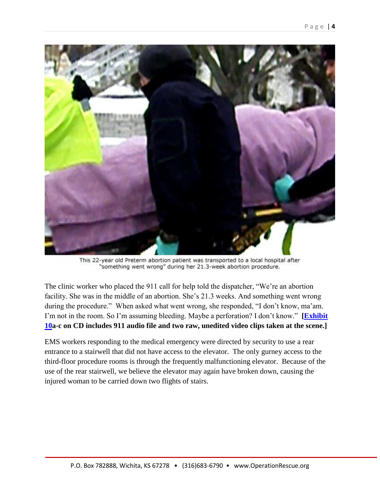

This 22-year old Preterm abortion patient was transported to a local hospital after "something went wrong" during her 21.3-week abortion procedure.

The clinic worker who placed the 911 call for help told the dispatcher, "We're an abortion facility. She was in the middle of an abortion. She's 21.3 weeks. And something went wrong during the procedure." When asked what went wrong, she responded, "I don't know, ma'am. I'm not in the room. So I'm assuming bleeding. Maybe a perforation? I don't know." **[\[Exhibit](https://www.youtube.com/watch?v=taASyJidsn0)  [10a](https://www.youtube.com/watch?v=taASyJidsn0)-c on CD includes 911 audio file and two raw, unedited video clips taken at the scene.]**

EMS workers responding to the medical emergency were directed by security to use a rear entrance to a stairwell that did not have access to the elevator. The only gurney access to the third-floor procedure rooms is through the frequently malfunctioning elevator. Because of the use of the rear stairwell, we believe the elevator may again have broken down, causing the injured woman to be carried down two flights of stairs.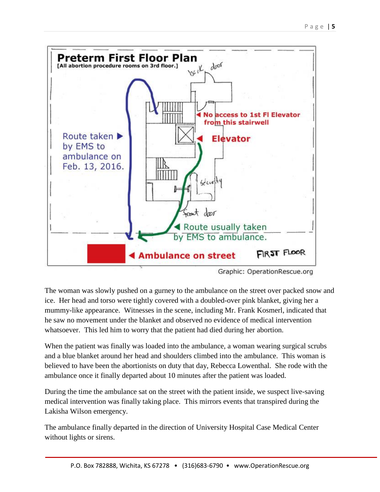

Graphic: OperationRescue.org

The woman was slowly pushed on a gurney to the ambulance on the street over packed snow and ice. Her head and torso were tightly covered with a doubled-over pink blanket, giving her a mummy-like appearance. Witnesses in the scene, including Mr. Frank Kosmerl, indicated that he saw no movement under the blanket and observed no evidence of medical intervention whatsoever. This led him to worry that the patient had died during her abortion.

When the patient was finally was loaded into the ambulance, a woman wearing surgical scrubs and a blue blanket around her head and shoulders climbed into the ambulance. This woman is believed to have been the abortionists on duty that day, Rebecca Lowenthal. She rode with the ambulance once it finally departed about 10 minutes after the patient was loaded.

During the time the ambulance sat on the street with the patient inside, we suspect live-saving medical intervention was finally taking place. This mirrors events that transpired during the Lakisha Wilson emergency.

The ambulance finally departed in the direction of University Hospital Case Medical Center without lights or sirens.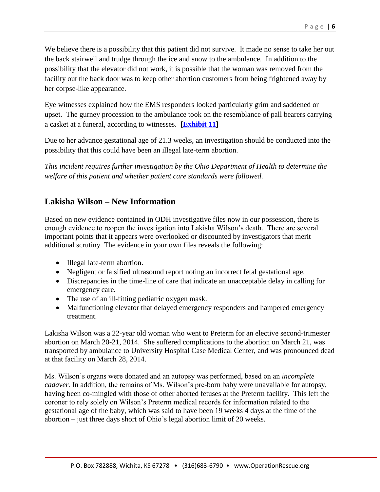We believe there is a possibility that this patient did not survive. It made no sense to take her out the back stairwell and trudge through the ice and snow to the ambulance. In addition to the possibility that the elevator did not work, it is possible that the woman was removed from the facility out the back door was to keep other abortion customers from being frightened away by her corpse-like appearance.

Eye witnesses explained how the EMS responders looked particularly grim and saddened or upset. The gurney procession to the ambulance took on the resemblance of pall bearers carrying a casket at a funeral, according to witnesses. **[\[Exhibit 11\]](http://www.operationrescue.org/archives/911-at-cleveland-abortion-clinic-shes-21-3-weeks-something-went-wrong-during-the-procedure/)**

Due to her advance gestational age of 21.3 weeks, an investigation should be conducted into the possibility that this could have been an illegal late-term abortion.

*This incident requires further investigation by the Ohio Department of Health to determine the welfare of this patient and whether patient care standards were followed.*

# **Lakisha Wilson – New Information**

Based on new evidence contained in ODH investigative files now in our possession, there is enough evidence to reopen the investigation into Lakisha Wilson's death. There are several important points that it appears were overlooked or discounted by investigators that merit additional scrutiny The evidence in your own files reveals the following:

- Illegal late-term abortion.
- Negligent or falsified ultrasound report noting an incorrect fetal gestational age.
- Discrepancies in the time-line of care that indicate an unacceptable delay in calling for emergency care.
- The use of an ill-fitting pediatric oxygen mask.
- Malfunctioning elevator that delayed emergency responders and hampered emergency treatment.

Lakisha Wilson was a 22-year old woman who went to Preterm for an elective second-trimester abortion on March 20-21, 2014. She suffered complications to the abortion on March 21, was transported by ambulance to University Hospital Case Medical Center, and was pronounced dead at that facility on March 28, 2014.

Ms. Wilson's organs were donated and an autopsy was performed, based on an *incomplete cadaver.* In addition, the remains of Ms. Wilson's pre-born baby were unavailable for autopsy, having been co-mingled with those of other aborted fetuses at the Preterm facility. This left the coroner to rely solely on Wilson's Preterm medical records for information related to the gestational age of the baby, which was said to have been 19 weeks 4 days at the time of the abortion – just three days short of Ohio's legal abortion limit of 20 weeks.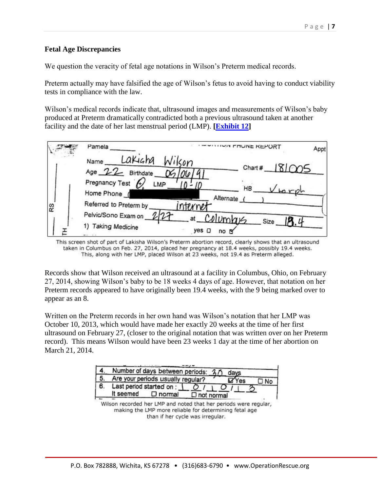#### **Fetal Age Discrepancies**

We question the veracity of fetal age notations in Wilson's Preterm medical records.

Preterm actually may have falsified the age of Wilson's fetus to avoid having to conduct viability tests in compliance with the law.

Wilson's medical records indicate that, ultrasound images and measurements of Wilson's baby produced at Preterm dramatically contradicted both a previous ultrasound taken at another facility and the date of her last menstrual period (LMP). **[\[Exhibit 12\]](http://www.operationrescue.org/wp-content/uploads/2016/03/Ex-12-Wilson-Preterm-Phone-Report.pdf)**

|    | Pamela                                                | <b>IVIT FRUNE REPORT</b>             | Appt |
|----|-------------------------------------------------------|--------------------------------------|------|
|    | Lakigha<br>Name<br>Age 22 Birthdate<br>Pregnancy Test | Wilson<br>Chart # $181005$           |      |
| RS | LMP<br>Home Phone<br>Referred to Preterm by           | <b>HB</b><br>Alternate (<br>internet |      |
|    | Pelvic/Sono Exam on<br>1) Taking Medicine             | $at$ Columbus<br>Size<br>yes<br>no   |      |

This screen shot of part of Lakisha Wilson's Preterm abortion record, clearly shows that an ultrasound taken in Columbus on Feb. 27, 2014, placed her pregnancy at 18.4 weeks, possibly 19.4 weeks. This, along with her LMP, placed Wilson at 23 weeks, not 19.4 as Preterm alleged.

Records show that Wilson received an ultrasound at a facility in Columbus, Ohio, on February 27, 2014, showing Wilson's baby to be 18 weeks 4 days of age. However, that notation on her Preterm records appeared to have originally been 19.4 weeks, with the 9 being marked over to appear as an 8.

Written on the Preterm records in her own hand was Wilson's notation that her LMP was October 10, 2013, which would have made her exactly 20 weeks at the time of her first ultrasound on February 27, (closer to the original notation that was written over on her Preterm record). This means Wilson would have been 23 weeks 1 day at the time of her abortion on March 21, 2014.

|   | Number of days between periods: 20<br>days                |    |
|---|-----------------------------------------------------------|----|
|   | Are your periods usually regular?<br>'e <sub>s</sub>      | No |
| 6 | Last period started on :<br>It seemed<br>$\square$ normal |    |
|   | $\square$ not normal                                      |    |

Wilson recorded her LMP and noted that her periods were regular, making the LMP more reliable for determining fetal age than if her cycle was irregular.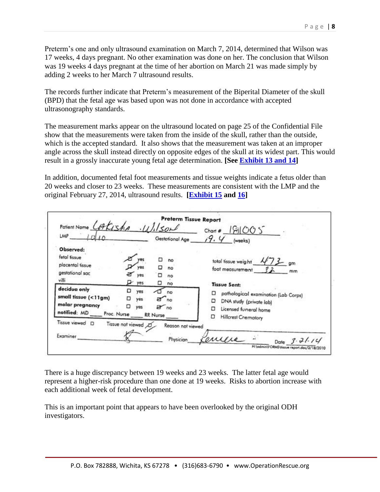Preterm's one and only ultrasound examination on March 7, 2014, determined that Wilson was 17 weeks, 4 days pregnant. No other examination was done on her. The conclusion that Wilson was 19 weeks 4 days pregnant at the time of her abortion on March 21 was made simply by adding 2 weeks to her March 7 ultrasound results.

The records further indicate that Preterm's measurement of the Biperital Diameter of the skull (BPD) that the fetal age was based upon was not done in accordance with accepted ultrasonography standards.

The measurement marks appear on the ultrasound located on page 25 of the Confidential File show that the measurements were taken from the inside of the skull, rather than the outside, which is the accepted standard. It also shows that the measurement was taken at an improper angle across the skull instead directly on opposite edges of the skull at its widest part. This would result in a grossly inaccurate young fetal age determination. **[See [Exhibit 13 and 14\]](http://www.operationrescue.org/wp-content/uploads/2016/03/Exhibit-13-14.pdf)**

In addition, documented fetal foot measurements and tissue weights indicate a fetus older than 20 weeks and closer to 23 weeks. These measurements are consistent with the LMP and the original February 27, 2014, ultrasound results. **[\[Exhibit 15](http://www.operationrescue.org/wp-content/uploads/2016/03/EX-15-Preterm-Lab-Report.pdf) and [16\]](http://www.operationrescue.org/wp-content/uploads/2016/03/Ex-16-Fetal-measurement-chart.pdf)**

| LMP                                                                                                                                                                                                             | Gestational Age                                                                              | $Chant =  \mathcal{G}  \mathcal{O} \mathcal{O}$<br>19. Y<br>(weeks)                                                                                                                                                       |
|-----------------------------------------------------------------------------------------------------------------------------------------------------------------------------------------------------------------|----------------------------------------------------------------------------------------------|---------------------------------------------------------------------------------------------------------------------------------------------------------------------------------------------------------------------------|
| Observed:<br>fetal fissue<br>placental tissue<br>gestational sac<br>villi<br>$\blacktriangleright$ yes<br>decidua only<br>o<br>small tissue (<11gm)<br>o<br>molar pregnancy<br>ο<br>notified: MD<br>Proc. Nurse | no<br>no<br>yes:<br>□<br>no<br>◻<br>no<br>yes<br>no<br>yes<br>a no<br>ves<br>200<br>RR Nurse | $473$ gm<br>total tissue weight<br>foot measurement<br><b>Tissue Sent:</b><br>pathological examination (Lab Corps)<br>о<br>□<br>DNA study (private lab)<br>Ω<br>Licensed furneral home<br>□<br><b>Hillcrest Cremotory</b> |
| <b>Tissue</b> viewed<br>D<br>Tissue not viewed<br>Examiner                                                                                                                                                      | Reason not viewed<br>Physician                                                               | Date $3.71.10$                                                                                                                                                                                                            |

There is a huge discrepancy between 19 weeks and 23 weeks. The latter fetal age would represent a higher-risk procedure than one done at 19 weeks. Risks to abortion increase with each additional week of fetal development.

This is an important point that appears to have been overlooked by the original ODH investigators.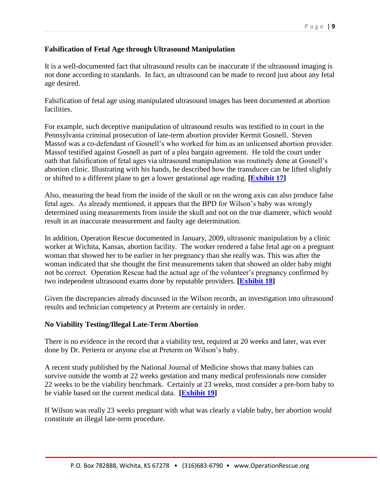### **Falsification of Fetal Age through Ultrasound Manipulation**

It is a well-documented fact that ultrasound results can be inaccurate if the ultrasound imaging is not done according to standards. In fact, an ultrasound can be made to record just about any fetal age desired.

Falsification of fetal age using manipulated ultrasound images has been documented at abortion facilities.

For example, such deceptive manipulation of ultrasound results was testified to in court in the Pennsylvania criminal prosecution of late-term abortion provider Kermit Gosnell. Steven Massof was a co-defendant of Gosnell's who worked for him as an unlicensed abortion provider. Massof testified against Gosnell as part of a plea bargain agreement. He told the court under oath that falsification of fetal ages via ultrasound manipulation was routinely done at Gosnell's abortion clinic. Illustrating with his hands, he described how the transducer can be lifted slightly or shifted to a different plane to get a lower gestational age reading. **[\[Exhibit 17\]](http://www.operationrescue.org/archives/exception-or-rule-gosnells-house-of-horrors-not-so-rare/)**

Also, measuring the head from the inside of the skull or on the wrong axis can also produce false fetal ages. As already mentioned, it appears that the BPD for Wilson's baby was wrongly determined using measurements from inside the skull and not on the true diameter, which would result in an inaccurate measurement and faulty age determination.

In addition, Operation Rescue documented in January, 2009, ultrasonic manipulation by a clinic worker at Wichita, Kansas, abortion facility. The worker rendered a false fetal age on a pregnant woman that showed her to be earlier in her pregnancy than she really was. This was after the woman indicated that she thought the first measurements taken that showed an older baby might not be correct. Operation Rescue had the actual age of the volunteer's pregnancy confirmed by two independent ultrasound exams done by reputable providers. **[\[Exhibit 18\]](http://operationrescue.org/pdfs/FetalAgeDeception.pdf)**

Given the discrepancies already discussed in the Wilson records, an investigation into ultrasound results and technician competency at Preterm are certainly in order.

#### **No Viability Testing/Illegal Late-Term Abortion**

There is no evidence in the record that a viability test, required at 20 weeks and later, was ever done by Dr. Perierra or anyone else at Preterm on Wilson's baby.

A recent study published by the National Journal of Medicine shows that many babies can survive outside the womb at 22 weeks gestation and many medical professionals now consider 22 weeks to be the viability benchmark. Certainly at 23 weeks, most consider a pre-born baby to be viable based on the current medical data. **[\[Exhibit 19\]](http://www.nejm.org/doi/full/10.1056/NEJMoa1410689)**

If Wilson was really 23 weeks pregnant with what was clearly a viable baby, her abortion would constitute an illegal late-term procedure.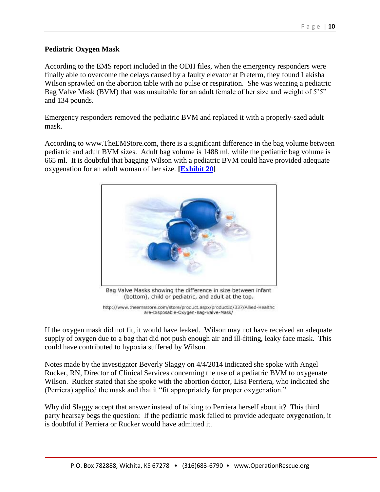#### **Pediatric Oxygen Mask**

According to the EMS report included in the ODH files, when the emergency responders were finally able to overcome the delays caused by a faulty elevator at Preterm, they found Lakisha Wilson sprawled on the abortion table with no pulse or respiration. She was wearing a pediatric Bag Valve Mask (BVM) that was unsuitable for an adult female of her size and weight of 5'5" and 134 pounds.

Emergency responders removed the pediatric BVM and replaced it with a properly-szed adult mask.

According to www.TheEMStore.com, there is a significant difference in the bag volume between pediatric and adult BVM sizes. Adult bag volume is 1488 ml, while the pediatric bag volume is 665 ml. It is doubtful that bagging Wilson with a pediatric BVM could have provided adequate oxygenation for an adult woman of her size. **[\[Exhibit 20\]](http://www.theemsstore.com/store/product.aspx/productId/337/Allied-Healthcare-Disposable-Oxygen-Bag-Valve-Mask)**



(bottom), child or pediatric, and adult at the top.

http://www.theemsstore.com/store/product.aspx/productId/337/Allied-Healthc are-Disposable-Oxygen-Bag-Valve-Mask/

If the oxygen mask did not fit, it would have leaked. Wilson may not have received an adequate supply of oxygen due to a bag that did not push enough air and ill-fitting, leaky face mask. This could have contributed to hypoxia suffered by Wilson.

Notes made by the investigator Beverly Slaggy on 4/4/2014 indicated she spoke with Angel Rucker, RN, Director of Clinical Services concerning the use of a pediatric BVM to oxygenate Wilson. Rucker stated that she spoke with the abortion doctor, Lisa Perriera, who indicated she (Perriera) applied the mask and that it "fit appropriately for proper oxygenation."

Why did Slaggy accept that answer instead of talking to Perriera herself about it? This third party hearsay begs the question: If the pediatric mask failed to provide adequate oxygenation, it is doubtful if Perriera or Rucker would have admitted it.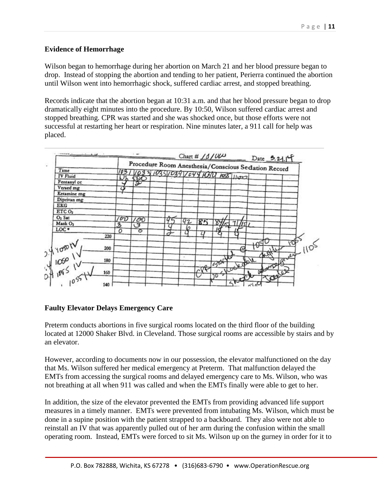### **Evidence of Hemorrhage**

Wilson began to hemorrhage during her abortion on March 21 and her blood pressure began to drop. Instead of stopping the abortion and tending to her patient, Perierra continued the abortion until Wilson went into hemorrhagic shock, suffered cardiac arrest, and stopped breathing.

Records indicate that the abortion began at 10:31 a.m. and that her blood pressure began to drop dramatically eight minutes into the procedure. By 10:50, Wilson suffered cardiac arrest and stopped breathing. CPR was started and she was shocked once, but those efforts were not successful at restarting her heart or respiration. Nine minutes later, a 911 call for help was placed.



### **Faulty Elevator Delays Emergency Care**

Preterm conducts abortions in five surgical rooms located on the third floor of the building located at 12000 Shaker Blvd. in Cleveland. Those surgical rooms are accessible by stairs and by an elevator.

However, according to documents now in our possession, the elevator malfunctioned on the day that Ms. Wilson suffered her medical emergency at Preterm. That malfunction delayed the EMTs from accessing the surgical rooms and delayed emergency care to Ms. Wilson, who was not breathing at all when 911 was called and when the EMTs finally were able to get to her.

In addition, the size of the elevator prevented the EMTs from providing advanced life support measures in a timely manner. EMTs were prevented from intubating Ms. Wilson, which must be done in a supine position with the patient strapped to a backboard. They also were not able to reinstall an IV that was apparently pulled out of her arm during the confusion within the small operating room. Instead, EMTs were forced to sit Ms. Wilson up on the gurney in order for it to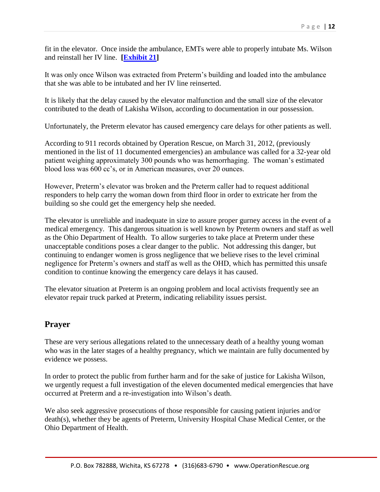fit in the elevator. Once inside the ambulance, EMTs were able to properly intubate Ms. Wilson and reinstall her IV line. **[\[Exhibit 21\]](http://www.operationrescue.org/wp-content/uploads/2016/03/EX-21-EMS-Report.pdf)**

It was only once Wilson was extracted from Preterm's building and loaded into the ambulance that she was able to be intubated and her IV line reinserted.

It is likely that the delay caused by the elevator malfunction and the small size of the elevator contributed to the death of Lakisha Wilson, according to documentation in our possession.

Unfortunately, the Preterm elevator has caused emergency care delays for other patients as well.

According to 911 records obtained by Operation Rescue, on March 31, 2012, (previously mentioned in the list of 11 documented emergencies) an ambulance was called for a 32-year old patient weighing approximately 300 pounds who was hemorrhaging. The woman's estimated blood loss was 600 cc's, or in American measures, over 20 ounces.

However, Preterm's elevator was broken and the Preterm caller had to request additional responders to help carry the woman down from third floor in order to extricate her from the building so she could get the emergency help she needed.

The elevator is unreliable and inadequate in size to assure proper gurney access in the event of a medical emergency. This dangerous situation is well known by Preterm owners and staff as well as the Ohio Department of Health. To allow surgeries to take place at Preterm under these unacceptable conditions poses a clear danger to the public. Not addressing this danger, but continuing to endanger women is gross negligence that we believe rises to the level criminal negligence for Preterm's owners and staff as well as the OHD, which has permitted this unsafe condition to continue knowing the emergency care delays it has caused.

The elevator situation at Preterm is an ongoing problem and local activists frequently see an elevator repair truck parked at Preterm, indicating reliability issues persist.

## **Prayer**

These are very serious allegations related to the unnecessary death of a healthy young woman who was in the later stages of a healthy pregnancy, which we maintain are fully documented by evidence we possess.

In order to protect the public from further harm and for the sake of justice for Lakisha Wilson, we urgently request a full investigation of the eleven documented medical emergencies that have occurred at Preterm and a re-investigation into Wilson's death.

We also seek aggressive prosecutions of those responsible for causing patient injuries and/or death(s), whether they be agents of Preterm, University Hospital Chase Medical Center, or the Ohio Department of Health.